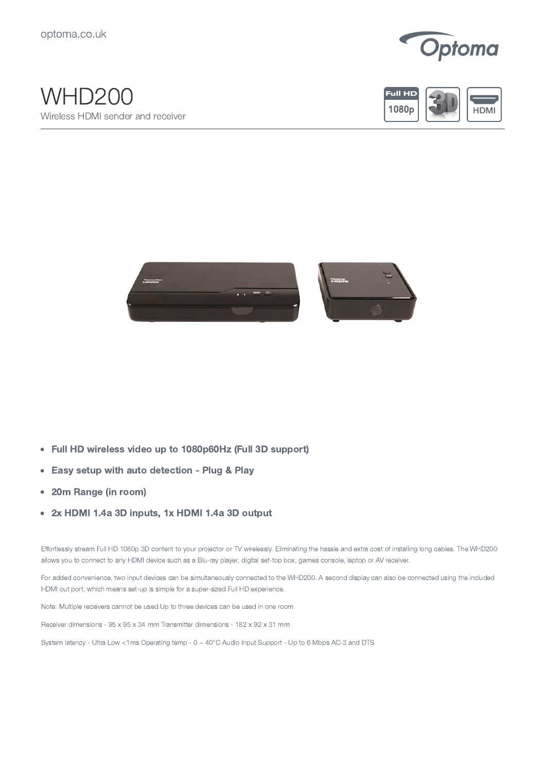

## WHD200 Wireless HDMI sender and receiver





- Full HD wireless video up to 1080p60Hz (Full 3D support)  $\bullet$
- Easy setup with auto detection Plug & Play  $\bullet$
- $\bullet$ 20m Range (in room)
- 2x HDMI 1.4a 3D inputs, 1x HDMI 1.4a 3D output  $\bullet$

Effortlessly stream Full HD 1080p 3D content to your projector or TV wirelessly. Eliminating the hassle and extra cost of installing long cables. The WHD200 allows you to connect to any HDMI device such as a Blu-ray player, digital set-top box, games console, laptop or AV receiver.

For added convenience, two input devices can be simultaneously connected to the WHD200. A second display can also be connected using the included HDMI out port, which means set-up is simple for a super-sized Full HD experience.

Note: Multiple receivers cannot be used Up to three devices can be used in one room

Receiver dimensions - 95 x 95 x 34 mm Transmitter dimensions - 182 x 92 x 31 mm

System latency - Ultra Low <1ms Operating temp - 0 ~ 40°C Audio Input Support - Up to 6 Mbps AC-3 and DTS